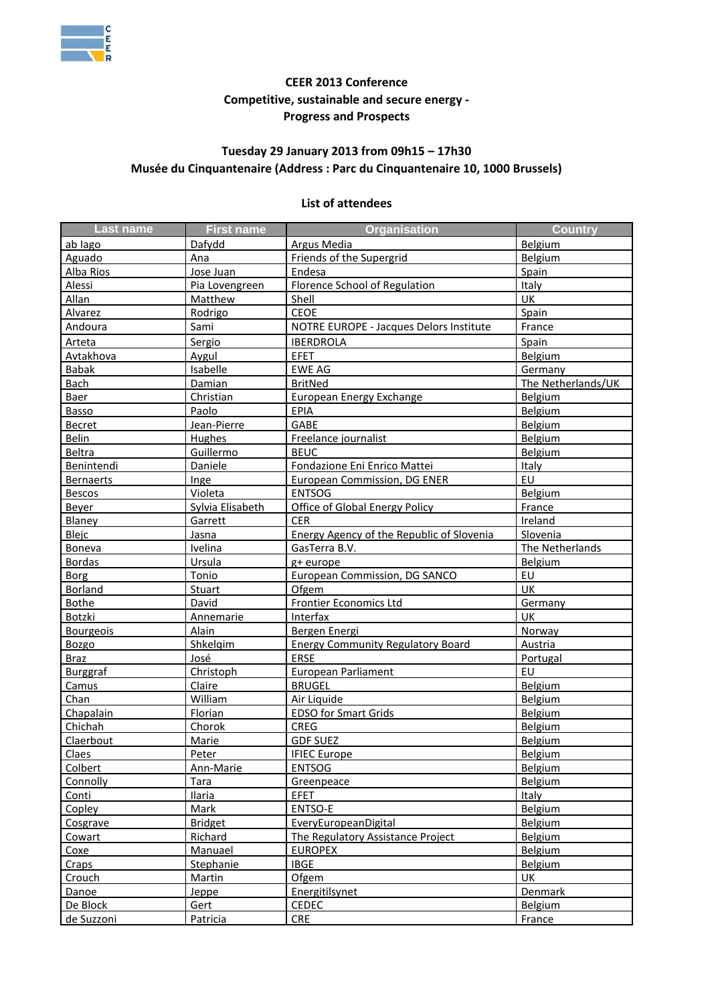

## **CEER 2013 Conference Competitive, sustainable and secure energy - Progress and Prospects**

## **Tuesday 29 January 2013 from 09h15 – 17h30 Musée du Cinquantenaire (Address : Parc du Cinquantenaire 10, 1000 Brussels)**

## **List of attendees**

| <b>Last name</b> | <b>First name</b> | <b>Organisation</b>                       | <b>Country</b>     |
|------------------|-------------------|-------------------------------------------|--------------------|
| ab lago          | Dafydd            | Argus Media                               | Belgium            |
| Aguado           | Ana               | Friends of the Supergrid                  | Belgium            |
| Alba Rios        | Jose Juan         | Endesa                                    | Spain              |
| Alessi           | Pia Lovengreen    | Florence School of Regulation             | <b>Italy</b>       |
| <b>Allan</b>     | <b>Matthew</b>    | Shell                                     | UK                 |
| Alvarez          | Rodrigo           | <b>CEOE</b>                               | Spain              |
| Andoura          | Sami              | NOTRE EUROPE - Jacques Delors Institute   | France             |
| Arteta           | Sergio            | <b>IBERDROLA</b>                          | Spain              |
| Avtakhova        | Aygul             | <b>EFET</b>                               | Belgium            |
| <b>Babak</b>     | Isabelle          | <b>EWE AG</b>                             | Germany            |
| <b>Bach</b>      | Damian            | <b>BritNed</b>                            | The Netherlands/UK |
| <b>Baer</b>      | Christian         | <b>European Energy Exchange</b>           | Belgium            |
| Basso            | Paolo             | <b>EPIA</b>                               | Belgium            |
| Becret           | Jean-Pierre       | GABE                                      | Belgium            |
| <b>Belin</b>     | <b>Hughes</b>     | Freelance journalist                      | Belgium            |
| Beltra           | Guillermo         | <b>BEUC</b>                               | Belgium            |
| Benintendi       | Daniele           | Fondazione Eni Enrico Mattei              | Italy              |
| <b>Bernaerts</b> | Inge              | European Commission, DG ENER              | EU                 |
| <b>Bescos</b>    | Violeta           | <b>ENTSOG</b>                             | Belgium            |
| <b>Beyer</b>     | Sylvia Elisabeth  | Office of Global Energy Policy            | France             |
| Blaney           | Garrett           | <b>CER</b>                                | Ireland            |
| <b>Blejc</b>     | Jasna             | Energy Agency of the Republic of Slovenia | Slovenia           |
| <b>Boneva</b>    | Ivelina           | GasTerra B.V.                             | The Netherlands    |
| <b>Bordas</b>    | Ursula            | g+ europe                                 | Belgium            |
| <b>Borg</b>      | Tonio             | <b>European Commission, DG SANCO</b>      | EU                 |
| <b>Borland</b>   | <b>Stuart</b>     | Ofgem                                     | UK                 |
| <b>Bothe</b>     | David             | <b>Frontier Economics Ltd</b>             | Germany            |
| Botzki           | Annemarie         | Interfax                                  | UK                 |
| <b>Bourgeois</b> | Alain             | Bergen Energi                             | Norway             |
| <b>Bozgo</b>     | Shkelgim          | <b>Energy Community Regulatory Board</b>  | Austria            |
| <b>Braz</b>      | José              | ERSE                                      | Portugal           |
| <b>Burggraf</b>  | Christoph         | European Parliament                       | EU                 |
| Camus            | Claire            | <b>BRUGEL</b>                             | Belgium            |
| Chan             | William           | Air Liquide                               | Belgium            |
| Chapalain        | <b>Florian</b>    | <b>EDSO for Smart Grids</b>               | Belgium            |
| Chichah          | Chorok            | <b>CREG</b>                               | Belgium            |
| Claerbout        | Marie             | <b>GDF SUEZ</b>                           | Belgium            |
| <b>Claes</b>     | Peter             | <b>IFIEC Europe</b>                       | Belgium            |
| Colbert          | Ann-Marie         | <b>ENTSOG</b>                             | <b>Belgium</b>     |
| Connolly         | Tara              | Greenpeace                                | Belgium            |
| Conti            | Ilaria            | <b>EFET</b>                               | Italy              |
| Copley           | <b>Mark</b>       | ENTSO-E                                   | <b>Belgium</b>     |
| Cosgrave         | <b>Bridget</b>    | EveryEuropeanDigital                      | <b>Belgium</b>     |
| Cowart           | Richard           | The Regulatory Assistance Project         | Belgium            |
| Coxe             | Manuael           | <b>EUROPEX</b>                            | <b>Belgium</b>     |
| Craps            | Stephanie         | <b>IBGE</b>                               | Belgium            |
| Crouch           | <b>Martin</b>     | <b>Ofgem</b>                              | UK                 |
| Danoe            | Jeppe             | Energitilsynet                            | Denmark            |
| De Block         | Gert              | <b>CEDEC</b>                              | <b>Belgium</b>     |
| de Suzzoni       | Patricia          | <b>CRE</b>                                | France             |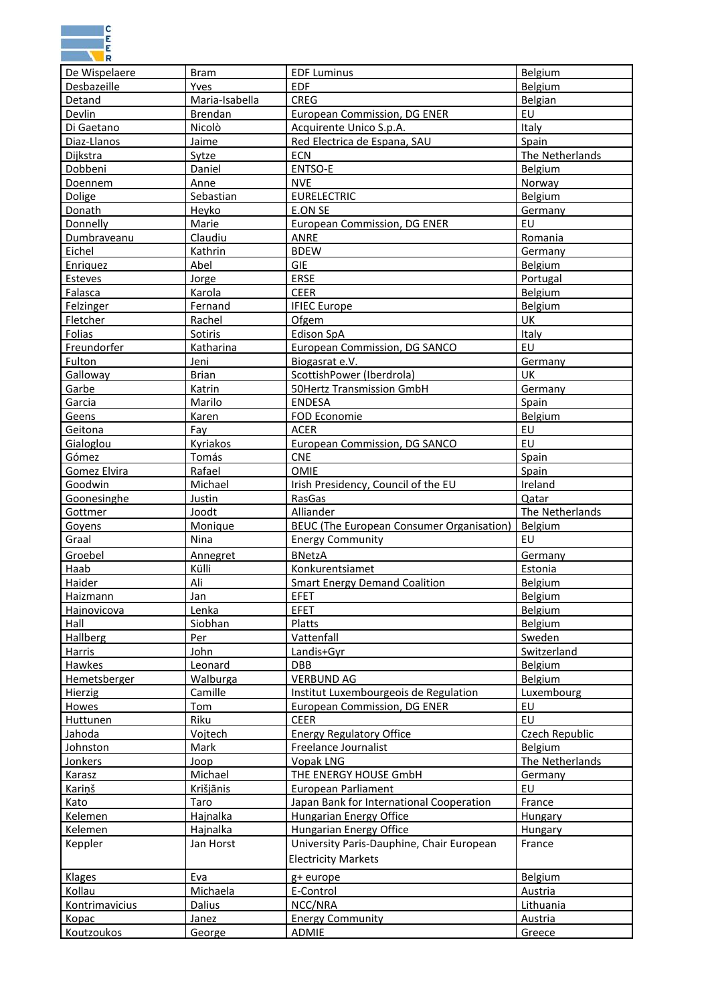

| De Wispelaere      | <b>Bram</b>      | <b>EDF Luminus</b>                               | Belgium         |
|--------------------|------------------|--------------------------------------------------|-----------------|
| Desbazeille        | Yves             | <b>EDF</b>                                       | Belgium         |
| Detand             | Maria-Isabella   | <b>CREG</b>                                      | Belgian         |
| Devlin             | <b>Brendan</b>   | <b>European Commission, DG ENER</b>              | EU              |
| Di Gaetano         | Nicolò           | Acquirente Unico S.p.A.                          | Italy           |
| Diaz-Llanos        | Jaime            | Red Electrica de Espana, SAU                     | Spain           |
| Dijkstra           | Sytze            | ECN                                              | The Netherlands |
| Dobbeni            | Daniel           | <b>ENTSO-E</b>                                   | Belgium         |
| <b>Doennem</b>     | Anne             | <b>NVE</b>                                       | Norway          |
| Dolige             | Sebastian        | <b>EURELECTRIC</b>                               | Belgium         |
| Donath             | Heyko            | E.ON SE                                          | Germany         |
| <b>Donnelly</b>    | Marie            | <b>European Commission, DG ENER</b>              | EU              |
| Dumbraveanu        | Claudiu          | ANRE                                             | Romania         |
| Eichel             | Kathrin          | <b>BDEW</b>                                      | Germany         |
| Enriquez           | Abel             | <b>GIE</b>                                       | Belgium         |
| <b>Esteves</b>     | Jorge            | <b>ERSE</b>                                      | Portugal        |
| Falasca            | Karola           | <b>CEER</b>                                      | Belgium         |
| <b>Felzinger</b>   | Fernand          | <b>IFIEC Europe</b>                              | Belgium         |
| Fletcher           | Rachel           | Ofgem                                            | UK              |
| <b>Folias</b>      | Sotiris          | <b>Edison SpA</b>                                | Italy           |
| Freundorfer        | <b>Katharina</b> | European Commission, DG SANCO                    | EU              |
| Fulton             | Jeni             | Biogasrat e.V.                                   | Germany         |
| Galloway           | <b>Brian</b>     | ScottishPower (Iberdrola)                        | UK              |
| Garbe              | Katrin           | <b>50Hertz Transmission GmbH</b>                 | Germany         |
| Garcia             | Marilo           | <b>ENDESA</b>                                    | Spain           |
| Geens              | Karen            | FOD Economie                                     | Belgium         |
| Geitona            | Fay              | ACER                                             | EU              |
| Gialoglou          | Kyriakos         | European Commission, DG SANCO                    | EU              |
| Gómez              | Tomás            | <b>CNE</b>                                       | Spain           |
| Gomez Elvira       | Rafael           | <b>OMIE</b>                                      | Spain           |
| Goodwin            | Michael          | Irish Presidency, Council of the EU              | Ireland         |
| Goonesinghe        | Justin           | RasGas                                           | Qatar           |
| Gottmer            | Joodt            | Alliander                                        | The Netherlands |
| <b>Goyens</b>      | Monique          | <b>BEUC</b> (The European Consumer Organisation) | Belgium         |
| Graal              | Nina             | <b>Energy Community</b>                          | EU              |
| Groebel            | Annegret         | <b>BNetzA</b>                                    | Germany         |
| Haab               | Külli            | Konkurentsiamet                                  | Estonia         |
| Haider             | Ali              | <b>Smart Energy Demand Coalition</b>             | Belgium         |
| <b>Haizmann</b>    | Jan              | <b>FFFT</b>                                      | <b>Belgium</b>  |
| <b>Hajnovicova</b> | Lenka            | <b>EFET</b>                                      | <b>Belgium</b>  |
| Hall               | Siobhan          | Platts                                           | Belgium         |
| <b>Hallberg</b>    | Per              | Vattenfall                                       | Sweden          |
| <b>Harris</b>      | John             | Landis+Gyr                                       | Switzerland     |
| Hawkes             | Leonard          | DBB                                              | Belgium         |
| Hemetsberger       | <b>Walburga</b>  | <b>VERBUND AG</b>                                | Belgium         |
| <b>Hierzig</b>     | Camille          | Institut Luxembourgeois de Regulation            | Luxembourg      |
| <b>Howes</b>       | Tom              | <b>European Commission, DG ENER</b>              | EU              |
| Huttunen           | Riku             | <b>CEER</b>                                      | EU              |
| Jahoda             | Vojtech          | <b>Energy Regulatory Office</b>                  | Czech Republic  |
| <b>Johnston</b>    | Mark             | Freelance Journalist                             | Belgium         |
| Jonkers            | Joop             | <b>Vopak LNG</b>                                 | The Netherlands |
| Karasz             | Michael          | THE ENERGY HOUSE GmbH                            | Germany         |
| Kariņš             | Krišjānis        | <b>European Parliament</b>                       | EU              |
| Kato               | Taro             | Japan Bank for International Cooperation         | France          |
| <b>Kelemen</b>     | <b>Hajnalka</b>  | <b>Hungarian Energy Office</b>                   | <b>Hungary</b>  |
| Kelemen            | Hajnalka         | Hungarian Energy Office                          | <b>Hungary</b>  |
| Keppler            | Jan Horst        | University Paris-Dauphine, Chair European        | France          |
|                    |                  | <b>Electricity Markets</b>                       |                 |
| Klages             | Eva              | g+ europe                                        | Belgium         |
| Kollau             | Michaela         | E-Control                                        | Austria         |
| Kontrimavicius     | Dalius           | NCC/NRA                                          | Lithuania       |
| Kopac              |                  |                                                  |                 |
|                    | Janez            | <b>Energy Community</b>                          | Austria         |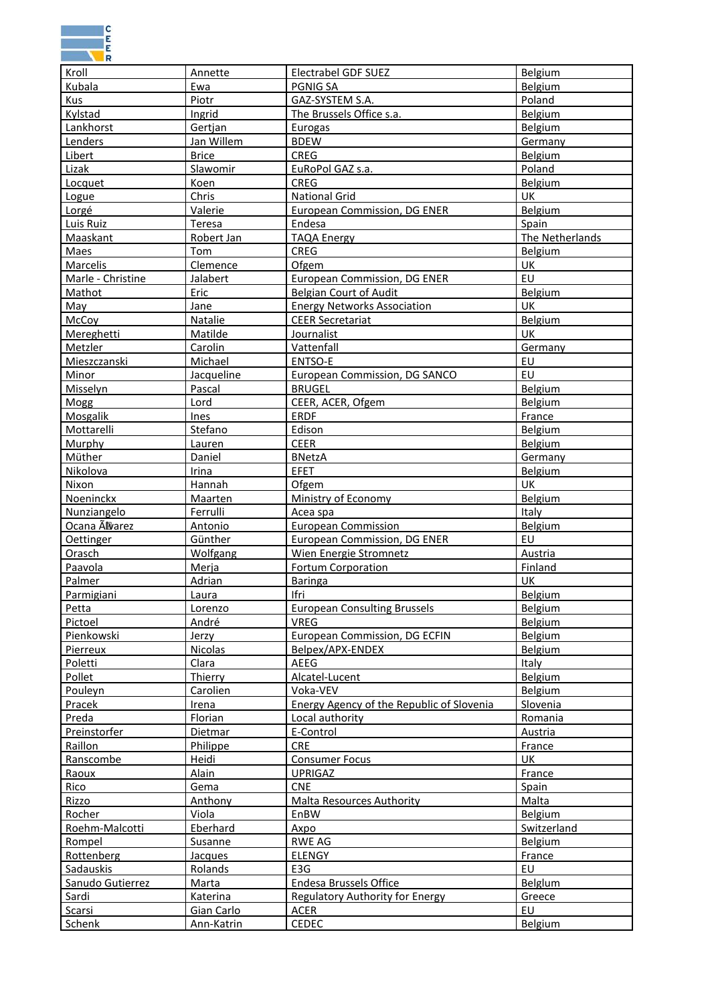

| Kroll             | Annette         | <b>Electrabel GDF SUEZ</b>                | Belgium         |
|-------------------|-----------------|-------------------------------------------|-----------------|
| Kubala            | Ewa             | PGNIG SA                                  | Belgium         |
| Kus               | Piotr           | GAZ-SYSTEM S.A.                           | Poland          |
| Kylstad           | Ingrid          | The Brussels Office s.a.                  | Belgium         |
| Lankhorst         | Gertjan         | Eurogas                                   | Belgium         |
| Lenders           | Jan Willem      | <b>BDEW</b>                               | Germany         |
| Libert            | <b>Brice</b>    | <b>CREG</b>                               | Belgium         |
| Lizak             | Slawomir        | EuRoPol GAZ s.a.                          | Poland          |
|                   | Koen            | <b>CREG</b>                               | Belgium         |
| Locquet           | Chris           | <b>National Grid</b>                      | UK              |
| Logue             |                 |                                           |                 |
| Lorgé             | Valerie         | European Commission, DG ENER              | Belgium         |
| Luis Ruiz         | Teresa          | Endesa                                    | Spain           |
| Maaskant          | Robert Jan      | <b>TAQA Energy</b>                        | The Netherlands |
| Maes              | Tom             | <b>CREG</b>                               | Belgium         |
| Marcelis          | Clemence        | Ofgem                                     | UK              |
| Marle - Christine | <b>Jalabert</b> | <b>European Commission, DG ENER</b>       | EU              |
| Mathot            | Eric            | <b>Belgian Court of Audit</b>             | Belgium         |
| May               | Jane            | <b>Energy Networks Association</b>        | UK              |
| McCoy             | Natalie         | <b>CEER Secretariat</b>                   | Belgium         |
| Mereghetti        | Matilde         | Journalist                                | UK              |
| Metzler           | Carolin         | Vattenfall                                | Germany         |
| Mieszczanski      | Michael         | ENTSO-E                                   | EU              |
| Minor             | Jacqueline      | European Commission, DG SANCO             | EU              |
| <b>Misselyn</b>   | Pascal          | <b>BRUGEL</b>                             | Belgium         |
| Mogg              | Lord            | CEER, ACER, Ofgem                         | Belgium         |
| Mosgalik          | Ines            | <b>ERDF</b>                               | France          |
| Mottarelli        | Stefano         | Edison                                    | Belgium         |
| Murphy            | Lauren          | <b>CEER</b>                               | Belgium         |
| Müther            | Daniel          | <b>BNetzA</b>                             | Germany         |
|                   |                 | EFET                                      |                 |
| Nikolova          | Irina           |                                           | Belgium<br>UK   |
| Nixon             | Hannah          | Ofgem                                     |                 |
| <b>Noeninckx</b>  | <b>Maarten</b>  | Ministry of Economy                       | Belgium         |
| Nunziangelo       | Ferrulli        | Acea spa                                  | Italy           |
| Ocana Alvarez     | Antonio         | <b>European Commission</b>                | Belgium         |
| <b>Oettinger</b>  | Günther         | European Commission, DG ENER              | EU              |
| Orasch            | Wolfgang        | Wien Energie Stromnetz                    | Austria         |
| Paavola           | Merja           | <b>Fortum Corporation</b>                 | Finland         |
| Palmer            | Adrian          | Baringa                                   | UK              |
| Parmigiani        | Laura           | Ifri                                      | Belgium         |
| Petta             | Lorenzo         | <b>European Consulting Brussels</b>       | Belgium         |
| Pictoel           | André           | VREG                                      | Belgium         |
| Pienkowski        | <b>Jerzy</b>    | <b>European Commission, DG ECFIN</b>      | Belgium         |
| <b>Pierreux</b>   | <b>Nicolas</b>  | Belpex/APX-ENDEX                          | Belgium         |
| Poletti           | Clara           | AEEG                                      | Italy           |
| Pollet            | Thierry         | Alcatel-Lucent                            | Belgium         |
| Pouleyn           | Carolien        | Voka-VEV                                  | Belgium         |
| Pracek            | Irena           | Energy Agency of the Republic of Slovenia | Slovenia        |
| Preda             | Florian         | Local authority                           | Romania         |
| Preinstorfer      | Dietmar         | E-Control                                 | Austria         |
| Raillon           | Philippe        | <b>CRE</b>                                | France          |
| Ranscombe         | Heidi           | Consumer Focus                            | UK              |
| Raoux             | Alain           | <b>UPRIGAZ</b>                            | France          |
| Rico              | Gema            | <b>CNE</b>                                | Spain           |
| Rizzo             | Anthony         | <b>Malta Resources Authority</b>          | <b>Malta</b>    |
|                   | Viola           |                                           | Belgium         |
| Rocher            |                 | EnBW                                      |                 |
| Roehm-Malcotti    | Eberhard        | Axpo                                      | Switzerland     |
| Rompel            | Susanne         | <b>RWE AG</b>                             | Belgium         |
| Rottenberg        | <b>Jacques</b>  | <b>ELENGY</b>                             | France          |
| <b>Sadauskis</b>  | Rolands         | E3G                                       | EU              |
| Sanudo Gutierrez  | Marta           | <b>Endesa Brussels Office</b>             | Belglum         |
| Sardi             | <b>Katerina</b> | <b>Regulatory Authority for Energy</b>    | Greece          |
| Scarsi            | Gian Carlo      | ACER                                      | EU              |
| <b>Schenk</b>     | Ann-Katrin      | <b>CEDEC</b>                              | Belgium         |